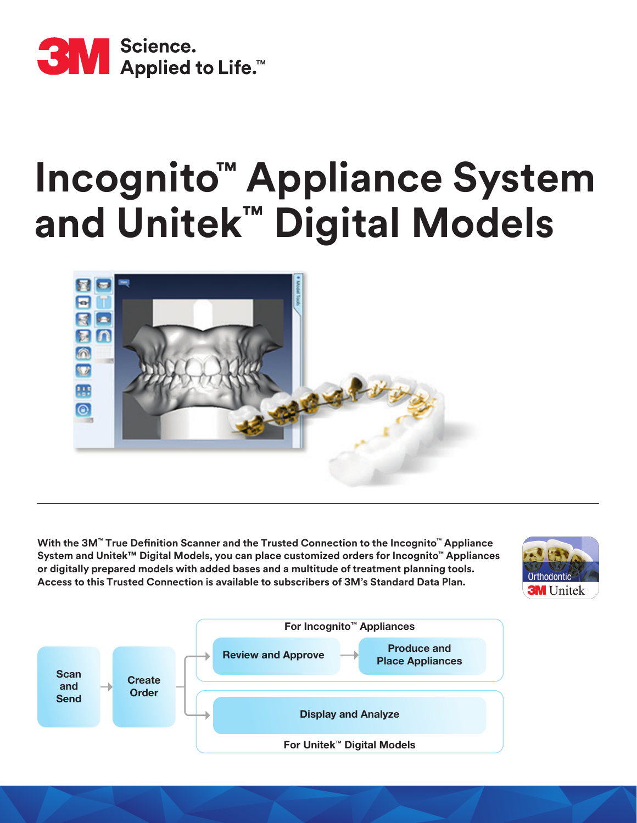

# **Incognito™ Appliance System and Unitek™ Digital Models**



**With the 3M™ True Definition Scanner and the Trusted Connection to the Incognito™ Appliance System and Unitek™ Digital Models, you can place customized orders for Incognito™ Appliances or digitally prepared models with added bases and a multitude of treatment planning tools. Access to this Trusted Connection is available to subscribers of 3M's Standard Data Plan.**